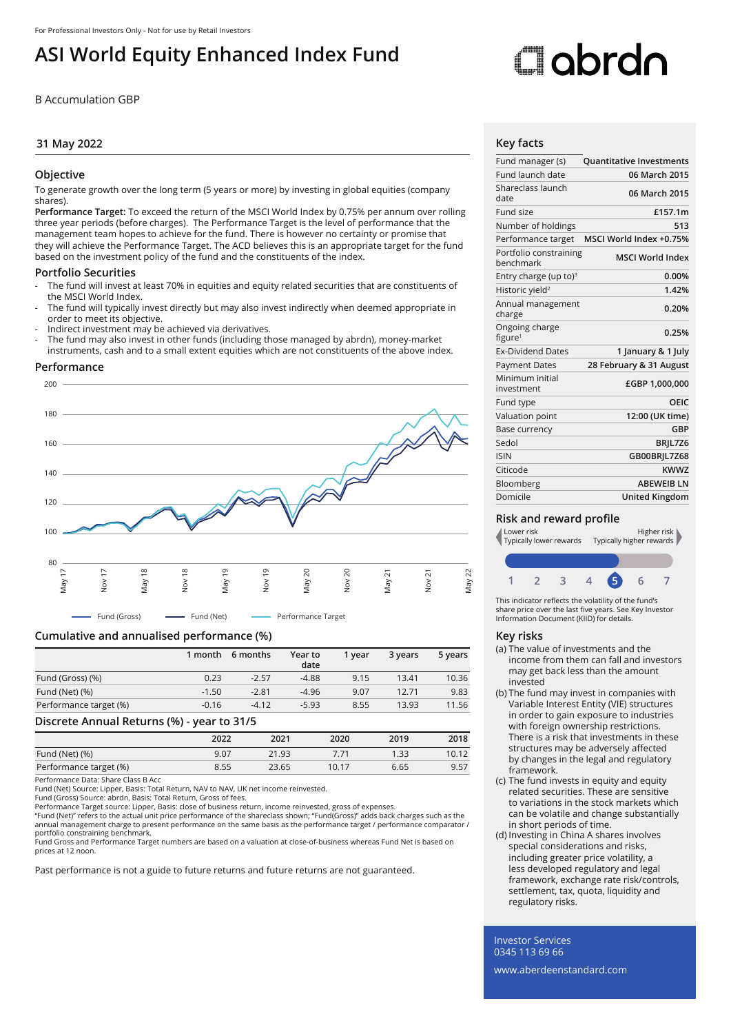# **ASI World Equity Enhanced Index Fund**

B Accumulation GBP

# **31 May 2022**

## **Objective**

To generate growth over the long term (5 years or more) by investing in global equities (company shares).

**Performance Target:** To exceed the return of the MSCI World Index by 0.75% per annum over rolling three year periods (before charges). The Performance Target is the level of performance that the management team hopes to achieve for the fund. There is however no certainty or promise that they will achieve the Performance Target. The ACD believes this is an appropriate target for the fund based on the investment policy of the fund and the constituents of the index.

#### **Portfolio Securities**

- The fund will invest at least 70% in equities and equity related securities that are constituents of the MSCI World Index.
- The fund will typically invest directly but may also invest indirectly when deemed appropriate in order to meet its objective.
- Indirect investment may be achieved via derivatives.
- The fund may also invest in other funds (including those managed by abrdn), money-market instruments, cash and to a small extent equities which are not constituents of the above index.

#### **Performance**



## **Cumulative and annualised performance (%)**

|                        | 1 month | 6 months | Year to<br>date | 1 vear | 3 years | 5 years |
|------------------------|---------|----------|-----------------|--------|---------|---------|
| Fund (Gross) (%)       | 0.23    | $-2.57$  | $-4.88$         | 9.15   | 13.41   | 10.36   |
| Fund (Net) (%)         | $-1.50$ | $-2.81$  | $-4.96$         | 9.07   | 12.71   | 9.83    |
| Performance target (%) | $-0.16$ | $-4.12$  | $-5.93$         | 8.55   | 13.93   | 11.56   |

#### **Discrete Annual Returns (%) - year to 31/5**

|                        | ______ |       |       |      |       |
|------------------------|--------|-------|-------|------|-------|
|                        | 2022   | 2021  | 2020  | 2019 | 2018  |
| Fund (Net) (%)         | 9.07   | 21.93 |       | 1.33 | 10.12 |
| Performance target (%) | 8.55   | 23.65 | 10.17 | 6.65 | 9.57  |
|                        |        |       |       |      |       |

Performance Data: Share Class B Acc

Fund (Net) Source: Lipper, Basis: Total Return, NAV to NAV, UK net income reinvested.

Fund (Gross) Source: abrdn, Basis: Total Return, Gross of fees. Performance Target source: Lipper, Basis: close of business return, income reinvested, gross of expenses.

"Fund (Net)" refers to the actual unit price performance of the shareclass shown; "Fund(Gross)" adds back charges such as the<br>annual management charge to present performance on the same basis as the performance target / pe portfolio constraining benchmark.

Fund Gross and Performance Target numbers are based on a valuation at close-of-business whereas Fund Net is based on prices at 12 noon.

Past performance is not a guide to future returns and future returns are not guaranteed.

# Oobrdc

# **Key facts**

| Fund manager (s)                      | <b>Quantitative Investments</b> |
|---------------------------------------|---------------------------------|
| Fund launch date                      | 06 March 2015                   |
| Shareclass launch<br>date             | 06 March 2015                   |
| Fund size                             | £157.1m                         |
| Number of holdings                    | 513                             |
| Performance target                    | MSCI World Index +0.75%         |
| Portfolio constraining<br>henchmark   | <b>MSCI World Index</b>         |
| Entry charge (up to) $3$              | 0.00%                           |
| Historic yield <sup>2</sup>           | 1.42%                           |
| Annual management<br>charge           | 0.20%                           |
| Ongoing charge<br>figure <sup>1</sup> | 0.25%                           |
| <b>Ex-Dividend Dates</b>              | 1 January & 1 July              |
| <b>Payment Dates</b>                  | 28 February & 31 August         |
| Minimum initial<br>investment         | £GBP 1,000,000                  |
| Fund type                             | OEIC                            |
| Valuation point                       | 12:00 (UK time)                 |
| Base currency                         | GBP                             |
| Sedol                                 | BRIL7Z6                         |
| <b>ISIN</b>                           | GB00BRIL7Z68                    |
| Citicode                              | KWW7                            |
| Bloomberg                             | <b>ABEWEIB LN</b>               |
| Domicile                              | <b>United Kingdom</b>           |

## **Risk and reward profile**



This indicator reflects the volatility of the fund's share price over the last five years. See Key Investor Information Document (KIID) for details.

#### **Key risks**

- (a) The value of investments and the income from them can fall and investors may get back less than the amount invested
- (b) The fund may invest in companies with Variable Interest Entity (VIE) structures in order to gain exposure to industries with foreign ownership restrictions. There is a risk that investments in these structures may be adversely affected by changes in the legal and regulatory framework.
- (c) The fund invests in equity and equity related securities. These are sensitive to variations in the stock markets which can be volatile and change substantially in short periods of time.
- (d) Investing in China A shares involves special considerations and risks, including greater price volatility, a less developed regulatory and legal framework, exchange rate risk/controls, settlement, tax, quota, liquidity and regulatory risks.

Investor Services 0345 113 69 66

www.aberdeenstandard.com